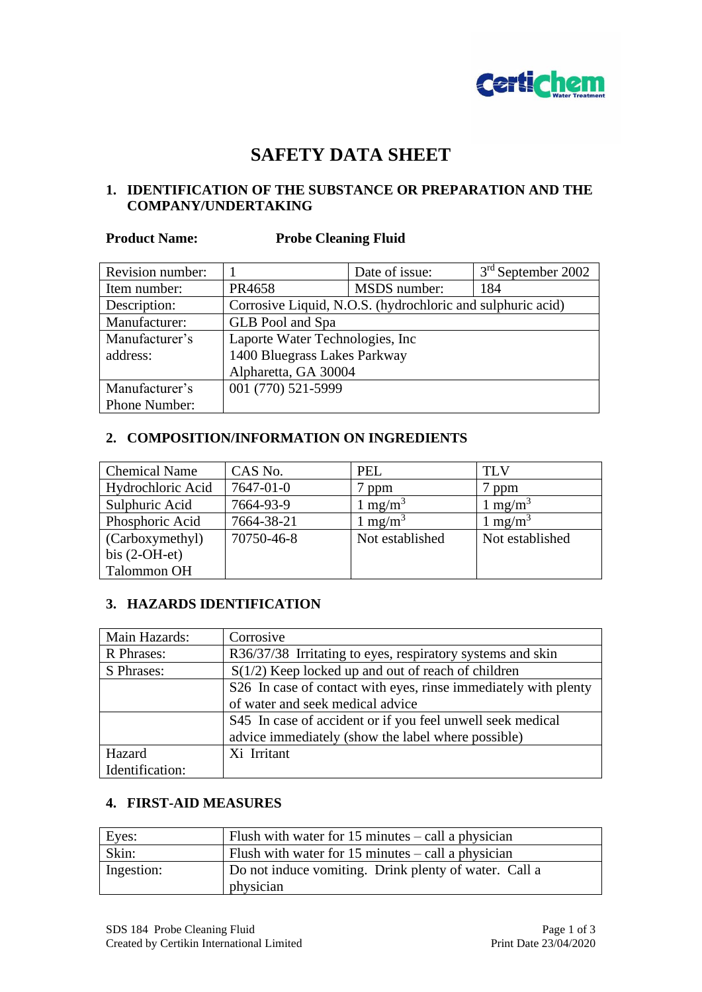

# **SAFETY DATA SHEET**

# **1. IDENTIFICATION OF THE SUBSTANCE OR PREPARATION AND THE COMPANY/UNDERTAKING**

#### **Product Name: Probe Cleaning Fluid**

| Revision number: |                                                            | Date of issue: | 3 <sup>rd</sup> September 2002 |
|------------------|------------------------------------------------------------|----------------|--------------------------------|
| Item number:     | PR4658                                                     | MSDS number:   | 184                            |
| Description:     | Corrosive Liquid, N.O.S. (hydrochloric and sulphuric acid) |                |                                |
| Manufacturer:    | GLB Pool and Spa                                           |                |                                |
| Manufacturer's   | Laporte Water Technologies, Inc                            |                |                                |
| address:         | 1400 Bluegrass Lakes Parkway                               |                |                                |
|                  | Alpharetta, GA 30004                                       |                |                                |
| Manufacturer's   | 001 (770) 521-5999                                         |                |                                |
| Phone Number:    |                                                            |                |                                |

# **2. COMPOSITION/INFORMATION ON INGREDIENTS**

| <b>Chemical Name</b> | CAS No.    | <b>PEL</b>          | TLV                 |
|----------------------|------------|---------------------|---------------------|
| Hydrochloric Acid    | 7647-01-0  | ppm                 | ppm                 |
| Sulphuric Acid       | 7664-93-9  | 1 mg/m <sup>3</sup> | 1 mg/m <sup>3</sup> |
| Phosphoric Acid      | 7664-38-21 | 1 mg/m <sup>3</sup> | 1 mg/m <sup>3</sup> |
| (Carboxymethyl)      | 70750-46-8 | Not established     | Not established     |
| bis $(2-OH-et)$      |            |                     |                     |
| <b>Talommon OH</b>   |            |                     |                     |

#### **3. HAZARDS IDENTIFICATION**

| Main Hazards:   | Corrosive                                                       |
|-----------------|-----------------------------------------------------------------|
| R Phrases:      | R36/37/38 Irritating to eyes, respiratory systems and skin      |
| S Phrases:      | $S(1/2)$ Keep locked up and out of reach of children            |
|                 | S26 In case of contact with eyes, rinse immediately with plenty |
|                 | of water and seek medical advice                                |
|                 | S45 In case of accident or if you feel unwell seek medical      |
|                 | advice immediately (show the label where possible)              |
| Hazard          | Xi Irritant                                                     |
| Identification: |                                                                 |

# **4. FIRST-AID MEASURES**

| Eyes:      | Flush with water for $15$ minutes $-$ call a physician             |
|------------|--------------------------------------------------------------------|
| Skin:      | Flush with water for $15$ minutes $-$ call a physician             |
| Ingestion: | Do not induce vomiting. Drink plenty of water. Call a<br>physician |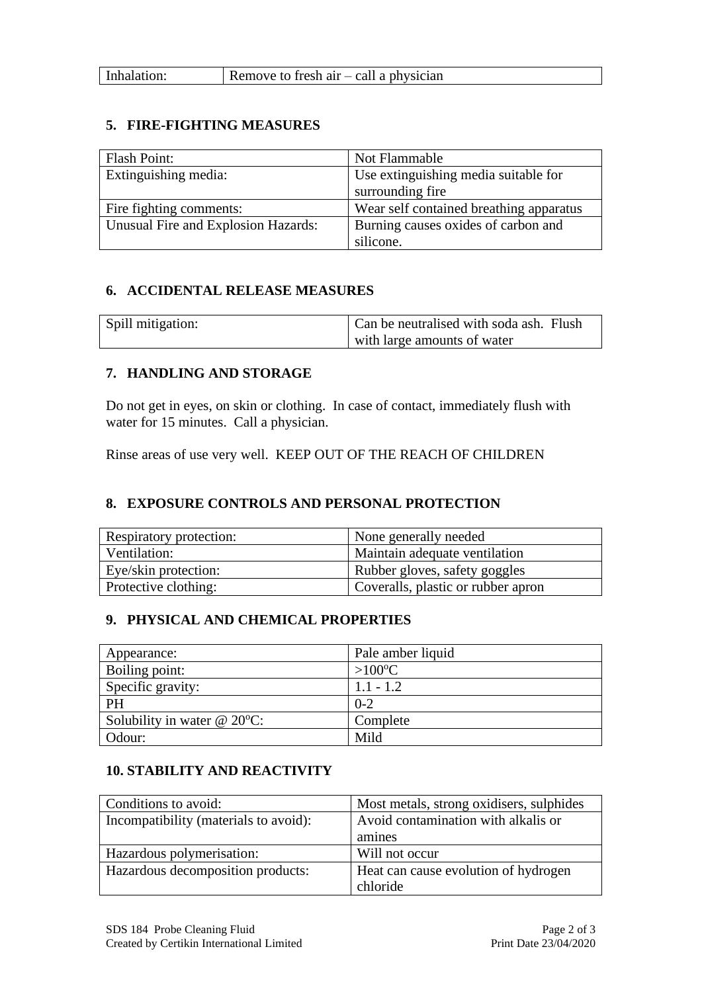#### **5. FIRE-FIGHTING MEASURES**

| Flash Point:                        | Not Flammable                           |
|-------------------------------------|-----------------------------------------|
| Extinguishing media:                | Use extinguishing media suitable for    |
|                                     | surrounding fire                        |
| Fire fighting comments:             | Wear self contained breathing apparatus |
| Unusual Fire and Explosion Hazards: | Burning causes oxides of carbon and     |
|                                     | silicone.                               |

#### **6. ACCIDENTAL RELEASE MEASURES**

| Spill mitigation: | Can be neutralised with soda ash. Flush |
|-------------------|-----------------------------------------|
|                   | with large amounts of water             |

# **7. HANDLING AND STORAGE**

Do not get in eyes, on skin or clothing. In case of contact, immediately flush with water for 15 minutes. Call a physician.

Rinse areas of use very well. KEEP OUT OF THE REACH OF CHILDREN

# **8. EXPOSURE CONTROLS AND PERSONAL PROTECTION**

| Respiratory protection: | None generally needed              |
|-------------------------|------------------------------------|
| Ventilation:            | Maintain adequate ventilation      |
| Eye/skin protection:    | Rubber gloves, safety goggles      |
| Protective clothing:    | Coveralls, plastic or rubber apron |

# **9. PHYSICAL AND CHEMICAL PROPERTIES**

| Appearance:                       | Pale amber liquid |
|-----------------------------------|-------------------|
| Boiling point:                    | $>100^{\circ}C$   |
| Specific gravity:                 | $1.1 - 1.2$       |
| PH                                | $0 - 2$           |
| Solubility in water $@$ 20 $°C$ : | Complete          |
| Odour:                            | Mild              |

# **10. STABILITY AND REACTIVITY**

| Conditions to avoid:                  | Most metals, strong oxidisers, sulphides |
|---------------------------------------|------------------------------------------|
| Incompatibility (materials to avoid): | Avoid contamination with alkalis or      |
|                                       | amines                                   |
| Hazardous polymerisation:             | Will not occur                           |
| Hazardous decomposition products:     | Heat can cause evolution of hydrogen     |
|                                       | chloride                                 |